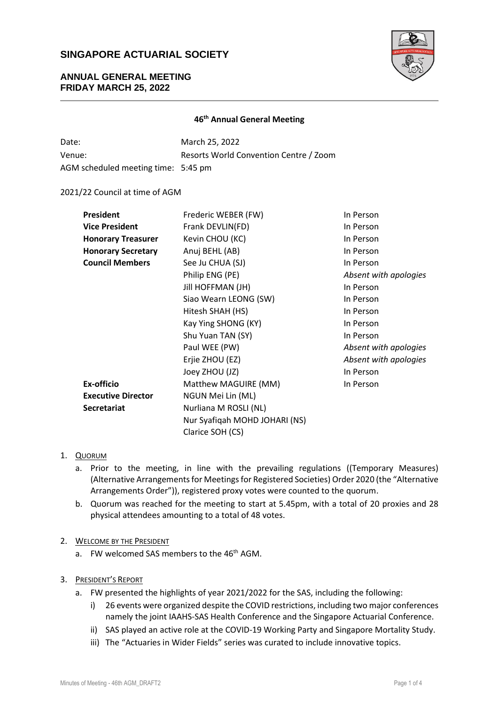

## **ANNUAL GENERAL MEETING FRIDAY MARCH 25, 2022**

### **46 th Annual General Meeting**

| Date:                               | March 25, 2022                         |
|-------------------------------------|----------------------------------------|
| Venue:                              | Resorts World Convention Centre / Zoom |
| AGM scheduled meeting time: 5:45 pm |                                        |

### 2021/22 Council at time of AGM

| <b>President</b>          | Frederic WEBER (FW)           | In Person             |
|---------------------------|-------------------------------|-----------------------|
| <b>Vice President</b>     | Frank DEVLIN(FD)              | In Person             |
| <b>Honorary Treasurer</b> | Kevin CHOU (KC)               | In Person             |
| <b>Honorary Secretary</b> | Anuj BEHL (AB)                | In Person             |
| <b>Council Members</b>    | See Ju CHUA (SJ)              | In Person             |
|                           | Philip ENG (PE)               | Absent with apologies |
|                           | Jill HOFFMAN (JH)             | In Person             |
|                           | Siao Wearn LEONG (SW)         | In Person             |
|                           | Hitesh SHAH (HS)              | In Person             |
|                           | Kay Ying SHONG (KY)           | In Person             |
|                           | Shu Yuan TAN (SY)             | In Person             |
|                           | Paul WEE (PW)                 | Absent with apologies |
|                           | Erjie ZHOU (EZ)               | Absent with apologies |
|                           | Joey ZHOU (JZ)                | In Person             |
| Ex-officio                | Matthew MAGUIRE (MM)          | In Person             |
| <b>Executive Director</b> | NGUN Mei Lin (ML)             |                       |
| Secretariat               | Nurliana M ROSLI (NL)         |                       |
|                           | Nur Syafiqah MOHD JOHARI (NS) |                       |
|                           | Clarice SOH (CS)              |                       |

## 1. QUORUM

- a. Prior to the meeting, in line with the prevailing regulations ((Temporary Measures) (Alternative Arrangements for Meetings for Registered Societies) Order 2020 (the "Alternative Arrangements Order")), registered proxy votes were counted to the quorum.
- b. Quorum was reached for the meeting to start at 5.45pm, with a total of 20 proxies and 28 physical attendees amounting to a total of 48 votes.

## 2. WELCOME BY THE PRESIDENT

a. FW welcomed SAS members to the 46<sup>th</sup> AGM.

## 3. PRESIDENT'S REPORT

- a. FW presented the highlights of year 2021/2022 for the SAS, including the following:
	- i) 26 events were organized despite the COVID restrictions, including two major conferences namely the joint IAAHS-SAS Health Conference and the Singapore Actuarial Conference.
	- ii) SAS played an active role at the COVID-19 Working Party and Singapore Mortality Study.
	- iii) The "Actuaries in Wider Fields" series was curated to include innovative topics.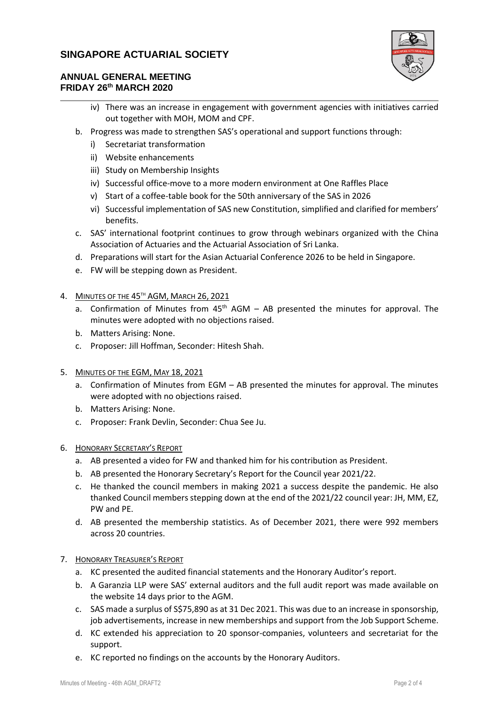

## **ANNUAL GENERAL MEETING FRIDAY 26 th MARCH 2020**

- iv) There was an increase in engagement with government agencies with initiatives carried out together with MOH, MOM and CPF.
- b. Progress was made to strengthen SAS's operational and support functions through:
	- i) Secretariat transformation
	- ii) Website enhancements
	- iii) Study on Membership Insights
	- iv) Successful office-move to a more modern environment at One Raffles Place
	- v) Start of a coffee-table book for the 50th anniversary of the SAS in 2026
	- vi) Successful implementation of SAS new Constitution, simplified and clarified for members' benefits.
- c. SAS' international footprint continues to grow through webinars organized with the China Association of Actuaries and the Actuarial Association of Sri Lanka.
- d. Preparations will start for the Asian Actuarial Conference 2026 to be held in Singapore.
- e. FW will be stepping down as President.
- 4. MINUTES OF THE 45<sup>th</sup> AGM, MARCH 26, 2021
	- a. Confirmation of Minutes from  $45<sup>th</sup>$  AGM AB presented the minutes for approval. The minutes were adopted with no objections raised.
	- b. Matters Arising: None.
	- c. Proposer: Jill Hoffman, Seconder: Hitesh Shah.
- 5. MINUTES OF THE EGM, MAY 18, 2021
	- a. Confirmation of Minutes from EGM AB presented the minutes for approval. The minutes were adopted with no objections raised.
	- b. Matters Arising: None.
	- c. Proposer: Frank Devlin, Seconder: Chua See Ju.
- 6. HONORARY SECRETARY'S REPORT
	- a. AB presented a video for FW and thanked him for his contribution as President.
	- b. AB presented the Honorary Secretary's Report for the Council year 2021/22.
	- c. He thanked the council members in making 2021 a success despite the pandemic. He also thanked Council members stepping down at the end of the 2021/22 council year: JH, MM, EZ, PW and PE.
	- d. AB presented the membership statistics. As of December 2021, there were 992 members across 20 countries.
- 7. HONORARY TREASURER'S REPORT
	- a. KC presented the audited financial statements and the Honorary Auditor's report.
	- b. A Garanzia LLP were SAS' external auditors and the full audit report was made available on the website 14 days prior to the AGM.
	- c. SAS made a surplus of S\$75,890 as at 31 Dec 2021. This was due to an increase in sponsorship, job advertisements, increase in new memberships and support from the Job Support Scheme.
	- d. KC extended his appreciation to 20 sponsor-companies, volunteers and secretariat for the support.
	- e. KC reported no findings on the accounts by the Honorary Auditors.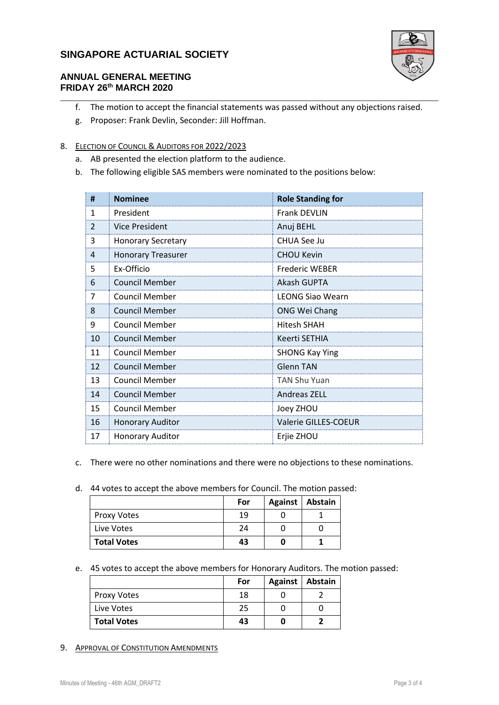

## **ANNUAL GENERAL MEETING FRIDAY 26 th MARCH 2020**

- f. The motion to accept the financial statements was passed without any objections raised.
- g. Proposer: Frank Devlin, Seconder: Jill Hoffman.

### 8. ELECTION OF COUNCIL & AUDITORS FOR 2022/2023

- a. AB presented the election platform to the audience.
- b. The following eligible SAS members were nominated to the positions below:

| #              | <b>Nominee</b>            | <b>Role Standing for</b> |  |
|----------------|---------------------------|--------------------------|--|
| $\mathbf{1}$   | President                 | <b>Frank DEVLIN</b>      |  |
| $\overline{2}$ | <b>Vice President</b>     | Anuj BEHL                |  |
| 3              | <b>Honorary Secretary</b> | CHUA See Ju              |  |
| 4              | <b>Honorary Treasurer</b> | <b>CHOU Kevin</b>        |  |
| 5              | Ex-Officio                | <b>Frederic WEBER</b>    |  |
| 6              | <b>Council Member</b>     | Akash GUPTA              |  |
| 7              | <b>Council Member</b>     | <b>LEONG Siao Wearn</b>  |  |
| 8              | <b>Council Member</b>     | <b>ONG Wei Chang</b>     |  |
| 9              | <b>Council Member</b>     | <b>Hitesh SHAH</b>       |  |
| 10             | Council Member            | Keerti SETHIA            |  |
| 11             | <b>Council Member</b>     | <b>SHONG Kay Ying</b>    |  |
| 12             | <b>Council Member</b>     | Glenn TAN                |  |
| 13             | <b>Council Member</b>     | <b>TAN Shu Yuan</b>      |  |
| 14             | <b>Council Member</b>     | Andreas ZELL             |  |
| 15             | <b>Council Member</b>     | Joey ZHOU                |  |
| 16             | <b>Honorary Auditor</b>   | Valerie GILLES-COEUR     |  |
| 17             | <b>Honorary Auditor</b>   | Erjie ZHOU               |  |

- c. There were no other nominations and there were no objections to these nominations.
- d. 44 votes to accept the above members for Council. The motion passed:

|                    | For | Against   Abstain |  |
|--------------------|-----|-------------------|--|
| Proxy Votes        | 19  |                   |  |
| Live Votes         | 24  |                   |  |
| <b>Total Votes</b> | 43  |                   |  |

#### e. 45 votes to accept the above members for Honorary Auditors. The motion passed:

|                    | For | Against   Abstain |
|--------------------|-----|-------------------|
| <b>Proxy Votes</b> | 18  |                   |
| Live Votes         | 25  |                   |
| <b>Total Votes</b> | 43  |                   |

#### 9. APPROVAL OF CONSTITUTION AMENDMENTS